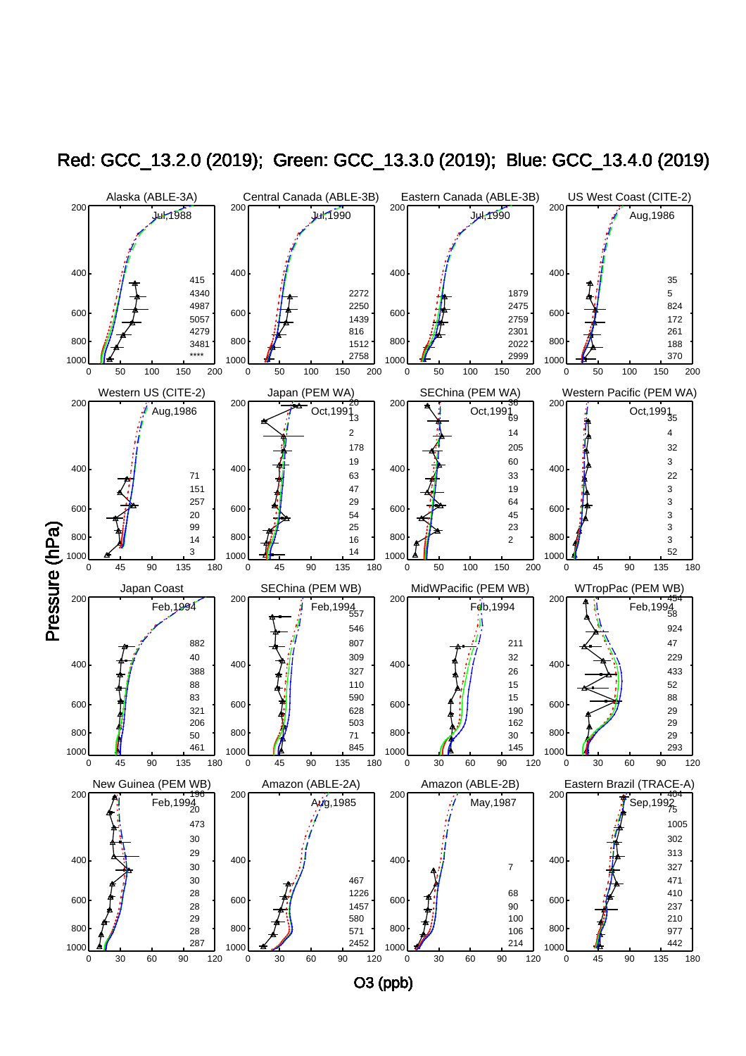

Red: GCC\_13.2.0 (2019); Green: GCC\_13.3.0 (2019); Blue: GCC\_13.4.0 (2019)

O3 (ppb)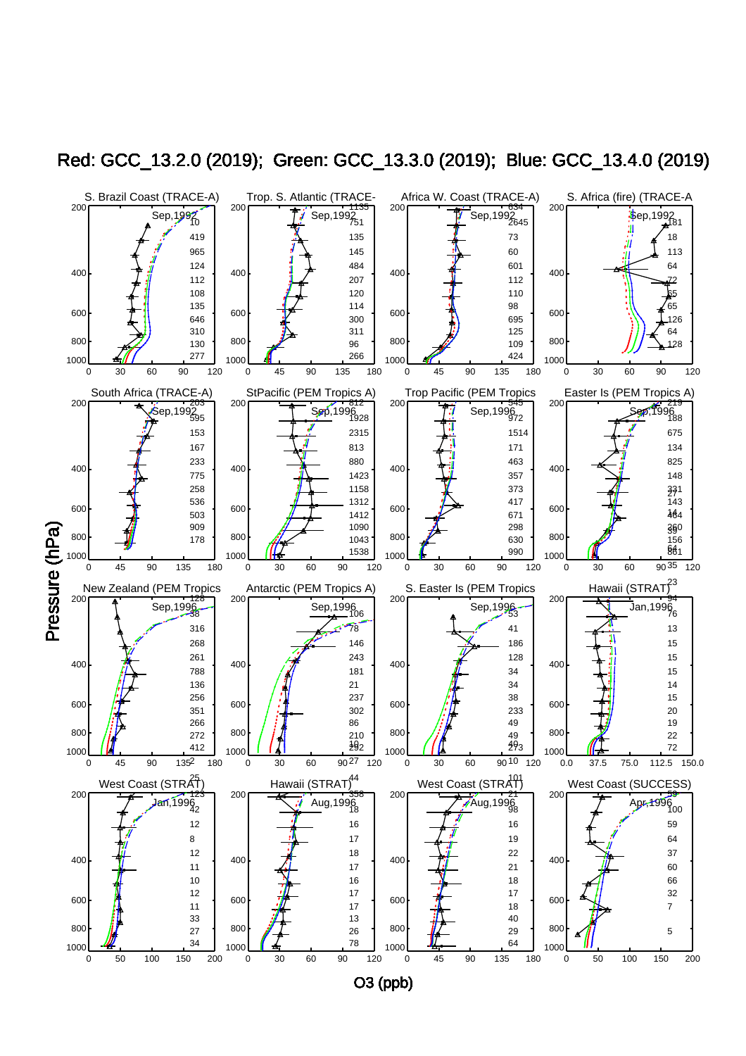

Red: GCC\_13.2.0 (2019); Green: GCC\_13.3.0 (2019); Blue: GCC\_13.4.0 (2019)

O3 (ppb)